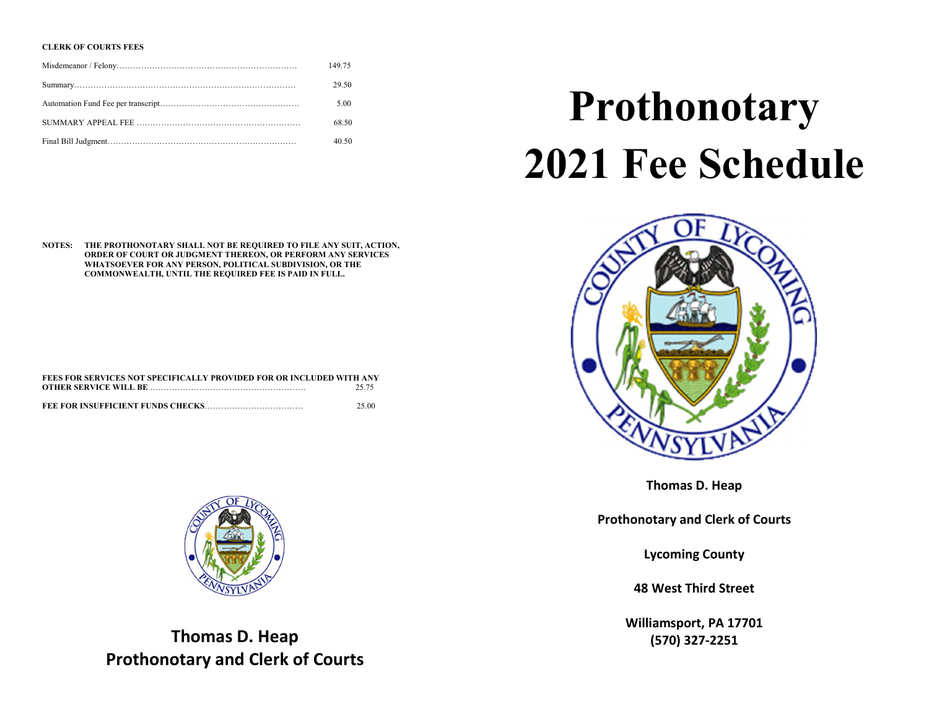### CLERK OF COURTS FEES

| 149.75 |
|--------|
| 29.50  |
| 5.00   |
| 68.50  |
| 40.50  |

#### NOTES: THE PROTHONOTARY SHALL NOT BE REQUIRED TO FILE ANY SUIT, ACTION, ORDER OF COURT OR JUDGMENT THEREON, OR PERFORM ANY SERVICES WHATSOEVER FOR ANY PERSON, POLITICAL SUBDIVISION, OR THE COMMONWEALTH, UNTIL THE REQUIRED FEE IS PAID IN FULL.

| FEES FOR SERVICES NOT SPECIFICALLY PROVIDED FOR OR INCLUDED WITH ANY |       |  |
|----------------------------------------------------------------------|-------|--|
|                                                                      | 25.75 |  |
|                                                                      |       |  |
|                                                                      | 25.00 |  |



Thomas D. Heap Prothonotary and Clerk of Courts

# Prothonotary 2021 Fee Schedule



Thomas D. Heap

Prothonotary and Clerk of Courts

Lycoming County

48 West Third Street

Williamsport, PA 17701 (570) 327-2251